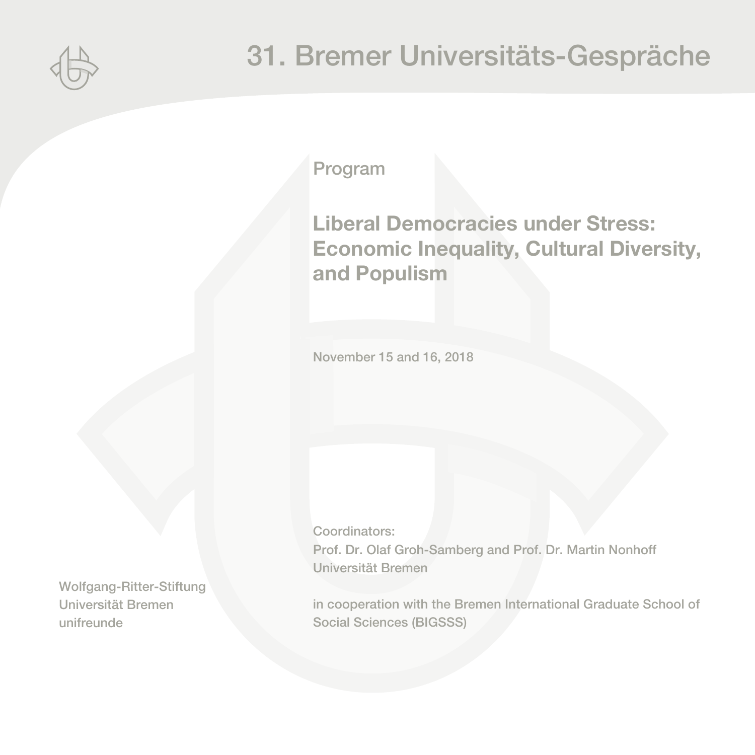

Program

# **Liberal Democracies under Stress: Economic Inequality, Cultural Diversity, and Populism**

November 15 and 16, 2018

Coordinators: Prof. Dr. Olaf Groh-Samberg and Prof. Dr. Martin Nonhoff Universität Bremen

in cooperation with the Bremen International Graduate School of Social Sciences (BIGSSS)

Wolfgang-Ritter-Stiftung Universität Bremen unifreunde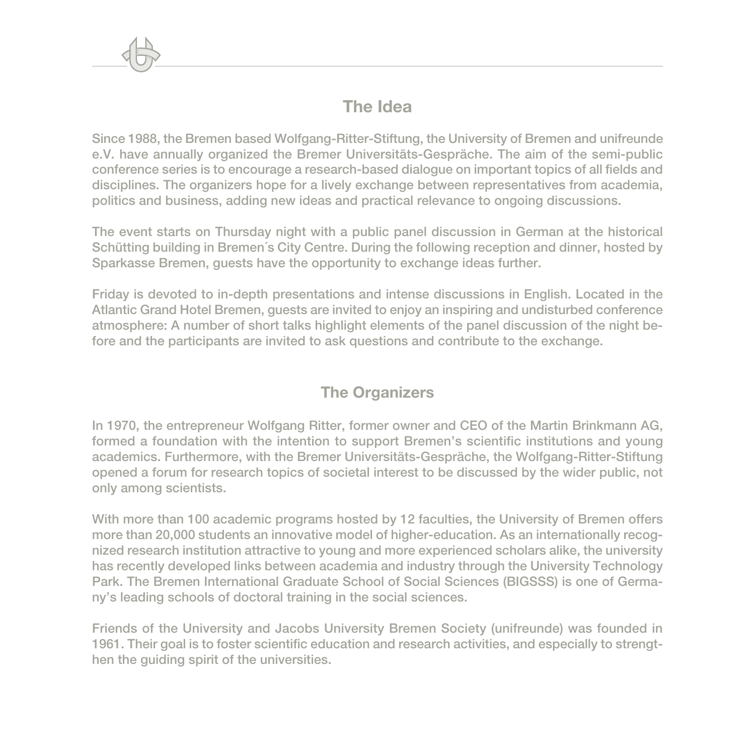# **The Idea**

Since 1988, the Bremen based Wolfgang-Ritter-Stiftung, the University of Bremen and unifreunde e.V. have annually organized the Bremer Universitäts-Gespräche. The aim of the semi-public conference series is to encourage a research-based dialogue on important topics of all fields and disciplines. The organizers hope for a lively exchange between representatives from academia, politics and business, adding new ideas and practical relevance to ongoing discussions.

The event starts on Thursday night with a public panel discussion in German at the historical Schütting building in Bremen´s City Centre. During the following reception and dinner, hosted by Sparkasse Bremen, guests have the opportunity to exchange ideas further.

Friday is devoted to in-depth presentations and intense discussions in English. Located in the Atlantic Grand Hotel Bremen, guests are invited to enjoy an inspiring and undisturbed conference atmosphere: A number of short talks highlight elements of the panel discussion of the night before and the participants are invited to ask questions and contribute to the exchange.

## **The Organizers**

In 1970, the entrepreneur Wolfgang Ritter, former owner and CEO of the Martin Brinkmann AG, formed a foundation with the intention to support Bremen's scientific institutions and young academics. Furthermore, with the Bremer Universitäts-Gespräche, the Wolfgang-Ritter-Stiftung opened a forum for research topics of societal interest to be discussed by the wider public, not only among scientists.

With more than 100 academic programs hosted by 12 faculties, the University of Bremen offers more than 20,000 students an innovative model of higher-education. As an internationally recognized research institution attractive to young and more experienced scholars alike, the university has recently developed links between academia and industry through the University Technology Park. The Bremen International Graduate School of Social Sciences (BIGSSS) is one of Germany's leading schools of doctoral training in the social sciences.

Friends of the University and Jacobs University Bremen Society (unifreunde) was founded in 1961. Their goal is to foster scientific education and research activities, and especially to strengthen the guiding spirit of the universities.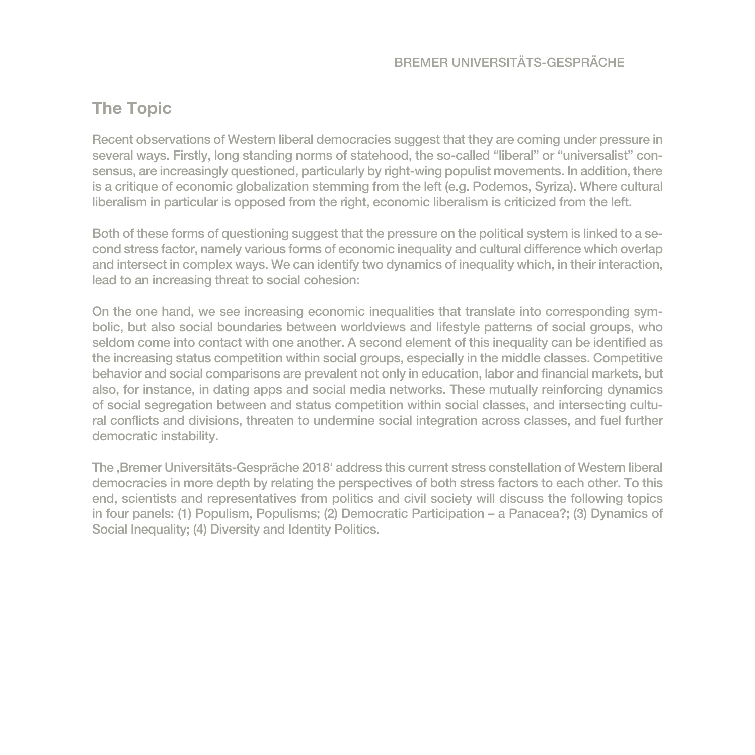# **The Topic**

Recent observations of Western liberal democracies suggest that they are coming under pressure in several ways. Firstly, long standing norms of statehood, the so-called "liberal" or "universalist" consensus, are increasingly questioned, particularly by right-wing populist movements. In addition, there is a critique of economic globalization stemming from the left (e.g. Podemos, Syriza). Where cultural liberalism in particular is opposed from the right, economic liberalism is criticized from the left.

Both of these forms of questioning suggest that the pressure on the political system is linked to a second stress factor, namely various forms of economic inequality and cultural difference which overlap and intersect in complex ways. We can identify two dynamics of inequality which, in their interaction, lead to an increasing threat to social cohesion:

On the one hand, we see increasing economic inequalities that translate into corresponding symbolic, but also social boundaries between worldviews and lifestyle patterns of social groups, who seldom come into contact with one another. A second element of this inequality can be identified as the increasing status competition within social groups, especially in the middle classes. Competitive behavior and social comparisons are prevalent not only in education, labor and financial markets, but also, for instance, in dating apps and social media networks. These mutually reinforcing dynamics of social segregation between and status competition within social classes, and intersecting cultural conflicts and divisions, threaten to undermine social integration across classes, and fuel further democratic instability.

The , Bremer Universitäts-Gespräche 2018' address this current stress constellation of Western liberal democracies in more depth by relating the perspectives of both stress factors to each other. To this end, scientists and representatives from politics and civil society will discuss the following topics in four panels: (1) Populism, Populisms; (2) Democratic Participation – a Panacea?; (3) Dynamics of Social Inequality; (4) Diversity and Identity Politics.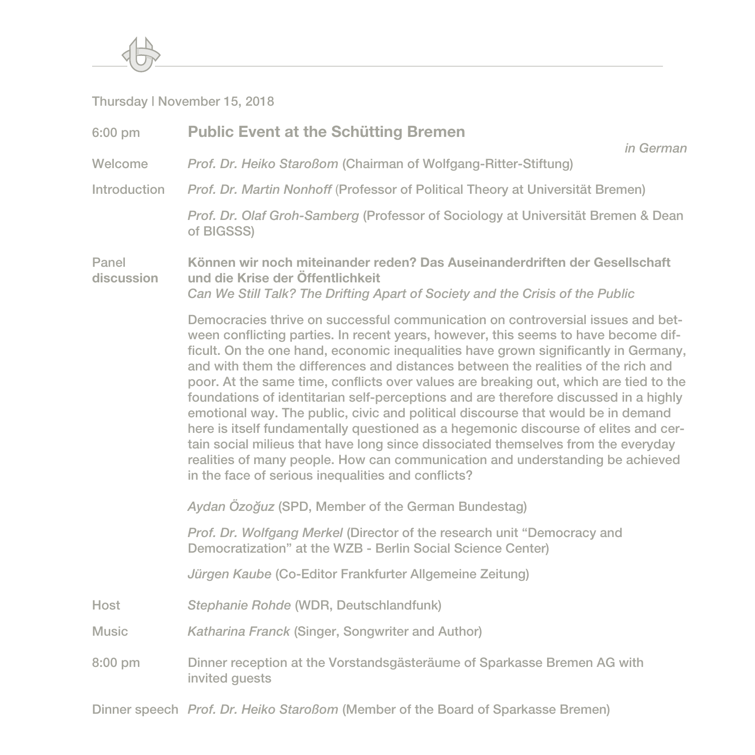

#### Thursday | November 15, 2018

| 6:00 pm             | <b>Public Event at the Schütting Bremen</b><br>in German                                                                                                                                                                                                                                                                                                                                                                                                                                                                                                                                                                                                                                                                                                                                                                                                                                                                                  |
|---------------------|-------------------------------------------------------------------------------------------------------------------------------------------------------------------------------------------------------------------------------------------------------------------------------------------------------------------------------------------------------------------------------------------------------------------------------------------------------------------------------------------------------------------------------------------------------------------------------------------------------------------------------------------------------------------------------------------------------------------------------------------------------------------------------------------------------------------------------------------------------------------------------------------------------------------------------------------|
| Welcome             | Prof. Dr. Heiko Staroßom (Chairman of Wolfgang-Ritter-Stiftung)                                                                                                                                                                                                                                                                                                                                                                                                                                                                                                                                                                                                                                                                                                                                                                                                                                                                           |
| Introduction        | Prof. Dr. Martin Nonhoff (Professor of Political Theory at Universität Bremen)                                                                                                                                                                                                                                                                                                                                                                                                                                                                                                                                                                                                                                                                                                                                                                                                                                                            |
|                     | Prof. Dr. Olaf Groh-Samberg (Professor of Sociology at Universität Bremen & Dean<br>of BIGSSS)                                                                                                                                                                                                                                                                                                                                                                                                                                                                                                                                                                                                                                                                                                                                                                                                                                            |
| Panel<br>discussion | Können wir noch miteinander reden? Das Auseinanderdriften der Gesellschaft<br>und die Krise der Öffentlichkeit<br>Can We Still Talk? The Drifting Apart of Society and the Crisis of the Public                                                                                                                                                                                                                                                                                                                                                                                                                                                                                                                                                                                                                                                                                                                                           |
|                     | Democracies thrive on successful communication on controversial issues and bet-<br>ween conflicting parties. In recent years, however, this seems to have become dif-<br>ficult. On the one hand, economic inequalities have grown significantly in Germany,<br>and with them the differences and distances between the realities of the rich and<br>poor. At the same time, conflicts over values are breaking out, which are tied to the<br>foundations of identitarian self-perceptions and are therefore discussed in a highly<br>emotional way. The public, civic and political discourse that would be in demand<br>here is itself fundamentally questioned as a hegemonic discourse of elites and cer-<br>tain social milieus that have long since dissociated themselves from the everyday<br>realities of many people. How can communication and understanding be achieved<br>in the face of serious inequalities and conflicts? |
|                     | Aydan Özoğuz (SPD, Member of the German Bundestag)                                                                                                                                                                                                                                                                                                                                                                                                                                                                                                                                                                                                                                                                                                                                                                                                                                                                                        |
|                     | Prof. Dr. Wolfgang Merkel (Director of the research unit "Democracy and<br>Democratization" at the WZB - Berlin Social Science Center)                                                                                                                                                                                                                                                                                                                                                                                                                                                                                                                                                                                                                                                                                                                                                                                                    |
|                     | Jürgen Kaube (Co-Editor Frankfurter Allgemeine Zeitung)                                                                                                                                                                                                                                                                                                                                                                                                                                                                                                                                                                                                                                                                                                                                                                                                                                                                                   |
| Host                | Stephanie Rohde (WDR, Deutschlandfunk)                                                                                                                                                                                                                                                                                                                                                                                                                                                                                                                                                                                                                                                                                                                                                                                                                                                                                                    |
| <b>Music</b>        | Katharina Franck (Singer, Songwriter and Author)                                                                                                                                                                                                                                                                                                                                                                                                                                                                                                                                                                                                                                                                                                                                                                                                                                                                                          |
| 8:00 pm             | Dinner reception at the Vorstandsgästeräume of Sparkasse Bremen AG with<br>invited guests                                                                                                                                                                                                                                                                                                                                                                                                                                                                                                                                                                                                                                                                                                                                                                                                                                                 |

Dinner speech *Prof. Dr. Heiko Staroßom* (Member of the Board of Sparkasse Bremen)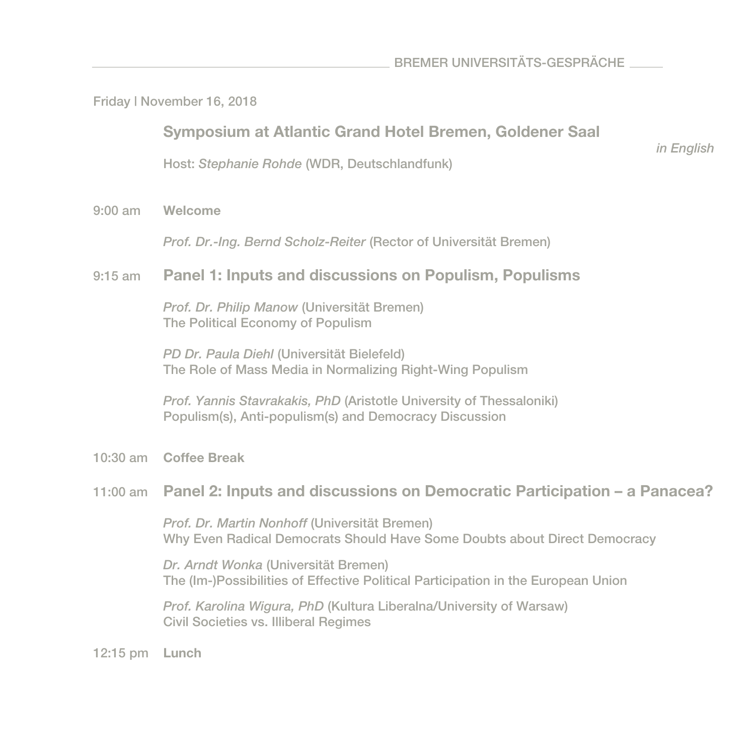Friday | November 16, 2018

**Symposium at Atlantic Grand Hotel Bremen, Goldener Saal** 

*in English* 

Host: *Stephanie Rohde* (WDR, Deutschlandfunk)

9:00 am **Welcome** 

*Prof. Dr.-Ing. Bernd Scholz-Reiter* (Rector of Universität Bremen)

#### 9:15 am **Panel 1: Inputs and discussions on Populism, Populisms**

*Prof. Dr. Philip Manow* (Universität Bremen) The Political Economy of Populism

*PD Dr. Paula Diehl* (Universität Bielefeld) The Role of Mass Media in Normalizing Right-Wing Populism

*Prof. Yannis Stavrakakis, PhD* (Aristotle University of Thessaloniki) Populism(s), Anti-populism(s) and Democracy Discussion

10:30 am **Coffee Break**

#### 11:00 am **Panel 2: Inputs and discussions on Democratic Participation – a Panacea?**

*Prof. Dr. Martin Nonhoff* (Universität Bremen) Why Even Radical Democrats Should Have Some Doubts about Direct Democracy

*Dr. Arndt Wonka* (Universität Bremen) The (Im-)Possibilities of Effective Political Participation in the European Union

*Prof. Karolina Wigura, PhD* (Kultura Liberalna/University of Warsaw) Civil Societies vs. Illiberal Regimes

12:15 pm **Lunch**